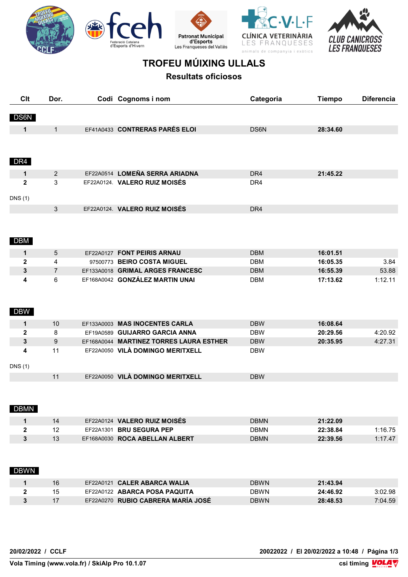









## **TROFEU MÚIXING ULLALS**

**Resultats oficiosos**

| Clt            | Dor.            | Codi Cognoms i nom                      | Categoria       | <b>Tiempo</b> | <b>Diferencia</b> |
|----------------|-----------------|-----------------------------------------|-----------------|---------------|-------------------|
| DS6N           |                 |                                         |                 |               |                   |
| $\mathbf 1$    | $\mathbf{1}$    | EF41A0433 CONTRERAS PARÉS ELOI          | DS6N            | 28:34.60      |                   |
|                |                 |                                         |                 |               |                   |
| DR4            |                 |                                         |                 |               |                   |
| 1              | $\overline{2}$  | EF22A0514 LOMEÑA SERRA ARIADNA          | DR4             | 21:45.22      |                   |
| $\mathbf{2}$   | 3               | EF22A0124. VALERO RUIZ MOISÉS           | DR4             |               |                   |
| DNS(1)         |                 |                                         |                 |               |                   |
|                | 3               | EF22A0124. VALERO RUIZ MOISÉS           | DR <sub>4</sub> |               |                   |
|                |                 |                                         |                 |               |                   |
| <b>DBM</b>     |                 |                                         |                 |               |                   |
| $\mathbf{1}$   | $5\phantom{.0}$ | EF22A0127 FONT PEIRIS ARNAU             | <b>DBM</b>      | 16:01.51      |                   |
| $\mathbf{2}$   | $\overline{4}$  | 97500773 BEIRO COSTA MIGUEL             | <b>DBM</b>      | 16:05.35      | 3.84              |
| 3              | $\overline{7}$  | EF133A0018 GRIMAL ARGES FRANCESC        | <b>DBM</b>      | 16:55.39      | 53.88             |
| 4              | 6               | EF168A0042 GONZÁLEZ MARTIN UNAI         | <b>DBM</b>      | 17:13.62      | 1:12.11           |
|                |                 |                                         |                 |               |                   |
| <b>DBW</b>     |                 |                                         |                 |               |                   |
| 1              | 10              | EF133A0003 MAS INOCENTES CARLA          | <b>DBW</b>      | 16:08.64      |                   |
| $\mathbf 2$    | 8               | EF19A0589 GUIJARRO GARCIA ANNA          | <b>DBW</b>      | 20:29.56      | 4:20.92           |
| $\mathbf{3}$   | 9               | EF168A0044 MARTINEZ TORRES LAURA ESTHER | <b>DBW</b>      | 20:35.95      | 4:27.31           |
| 4              | 11              | EF22A0050 VILÀ DOMINGO MERITXELL        | <b>DBW</b>      |               |                   |
| <b>DNS</b> (1) |                 |                                         |                 |               |                   |
|                | 11              | EF22A0050 VILÀ DOMINGO MERITXELL        | <b>DBW</b>      |               |                   |
|                |                 |                                         |                 |               |                   |
|                |                 |                                         |                 |               |                   |
| <b>DBMN</b>    |                 |                                         |                 |               |                   |
| $\mathbf{1}$   | 14              | EF22A0124 VALERO RUIZ MOISÉS            | <b>DBMN</b>     | 21:22.09      |                   |
| $\mathbf{2}$   | 12              | EF22A1301 BRU SEGURA PEP                | <b>DBMN</b>     | 22:38.84      | 1:16.75           |
| $\mathbf{3}$   | 13              | EF168A0030 ROCA ABELLAN ALBERT          | <b>DBMN</b>     | 22:39.56      | 1:17.47           |
|                |                 |                                         |                 |               |                   |
|                |                 |                                         |                 |               |                   |
| <b>DBWN</b>    |                 |                                         |                 |               |                   |
|                |                 | EF22A0121 CALER ABARCA WALIA            | <b>DBWN</b>     | 21:43.94      |                   |
| $\mathbf 1$    | 16              |                                         |                 |               |                   |
| $\mathbf{2}$   | 15              | EF22A0122 ABARCA POSA PAQUITA           | <b>DBWN</b>     | 24:46.92      | 3:02.98           |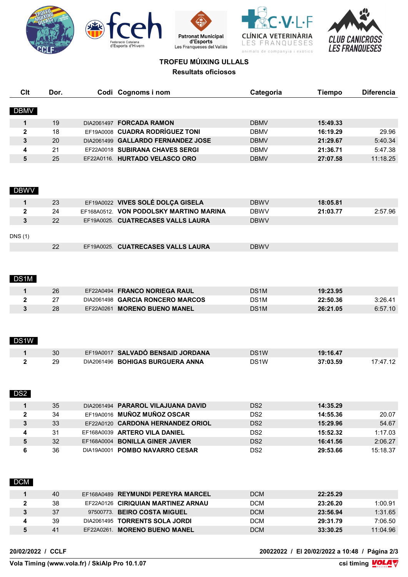









## **TROFEU MÚIXING ULLALS Resultats oficiosos**

| <b>Clt</b>   | Dor. | Codi Cognoms i nom                      | Categoria         | <b>Tiempo</b> | <b>Diferencia</b> |
|--------------|------|-----------------------------------------|-------------------|---------------|-------------------|
| <b>DBMV</b>  |      |                                         |                   |               |                   |
| 1            | 19   | DIA2061497 FORCADA RAMON                | <b>DBMV</b>       | 15:49.33      |                   |
| $\mathbf{2}$ | 18   | EF19A0008 CUADRA RODRÍGUEZ TONI         | <b>DBMV</b>       | 16:19.29      | 29.96             |
| 3            | 20   | DIA2061499 GALLARDO FERNANDEZ JOSE      | <b>DBMV</b>       | 21:29.67      | 5:40.34           |
| 4            | 21   | EF22A0018 SUBIRANA CHAVES SERGI         | <b>DBMV</b>       | 21:36.71      | 5:47.38           |
| 5            | 25   | EF22A0116. HURTADO VELASCO ORO          | <b>DBMV</b>       | 27:07.58      | 11:18.25          |
|              |      |                                         |                   |               |                   |
| <b>DBWV</b>  |      |                                         |                   |               |                   |
| 1            | 23   | EF19A0022 VIVES SOLÉ DOLÇA GISELA       | <b>DBWV</b>       | 18:05.81      |                   |
| $\mathbf{2}$ | 24   | EF168A0512. VON PODOLSKY MARTINO MARINA | <b>DBWV</b>       | 21:03.77      | 2:57.96           |
| 3            | 22   | EF19A0025. CUATRECASES VALLS LAURA      | <b>DBWV</b>       |               |                   |
| DNS(1)       |      |                                         |                   |               |                   |
|              | 22   | EF19A0025. CUATRECASES VALLS LAURA      | <b>DBWV</b>       |               |                   |
| DS1M         |      |                                         |                   |               |                   |
| 1            | 26   | EF22A0494 FRANCO NORIEGA RAUL           | DS1M              | 19:23.95      |                   |
| $\mathbf{2}$ | 27   | DIA2061498 GARCIA RONCERO MARCOS        | DS <sub>1</sub> M | 22:50.36      | 3:26.41           |
| 3            | 28   | EF22A0261 MORENO BUENO MANEL            | DS1M              | 26:21.05      | 6:57.10           |
| DS1W         |      |                                         |                   |               |                   |
| 1            | 30   | EF19A0017 SALVADÓ BENSAID JORDANA       | DS <sub>1</sub> W | 19:16.47      |                   |
| 2            | 29   | DIA2061496 BOHIGAS BURGUERA ANNA        | DS <sub>1</sub> W | 37:03.59      | 17:47.12          |
| DS2          |      |                                         |                   |               |                   |
| 1            | 35   | DIA2061494 PARAROL VILAJUANA DAVID      | DS <sub>2</sub>   | 14:35.29      |                   |
| $\mathbf{2}$ | 34   | EF19A0016 MUÑOZ MUÑOZ OSCAR             | DS <sub>2</sub>   | 14:55.36      | 20.07             |
| 3            | 33   | EF22A0120 CARDONA HERNANDEZ ORIOL       | DS <sub>2</sub>   | 15:29.96      | 54.67             |
| 4            | 31   | EF168A0039 ARTERO VILA DANIEL           | DS <sub>2</sub>   | 15:52.32      | 1:17.03           |
| 5            | 32   | EF168A0004 BONILLA GINER JAVIER         | DS <sub>2</sub>   | 16:41.56      | 2:06.27           |
| 6            | 36   | DIA19A0001 POMBO NAVARRO CESAR          | DS <sub>2</sub>   | 29:53.66      | 15:18.37          |
| <b>DCM</b>   |      |                                         |                   |               |                   |
| 1            | 40   | EF168A0489 REYMUNDI PEREYRA MARCEL      | <b>DCM</b>        | 22:25.29      |                   |
| $\mathbf{2}$ | 38   | EF22A0126 CIRIQUIAN MARTINEZ ARNAU      | <b>DCM</b>        | 23:26.20      | 1:00.91           |
| 3            | 37   | 97500773. BEIRO COSTA MIGUEL            | <b>DCM</b>        | 23:56.94      | 1:31.65           |
| 4            | 39   | DIA2061495 TORRENTS SOLA JORDI          | <b>DCM</b>        | 29:31.79      | 7:06.50           |
| 5            | 41   | EF22A0261. MORENO BUENO MANEL           | <b>DCM</b>        | 33:30.25      | 11:04.96          |

**20/02/2022 / CCLF 20022022 / El 20/02/2022 a 10:48 / Página 2/3**